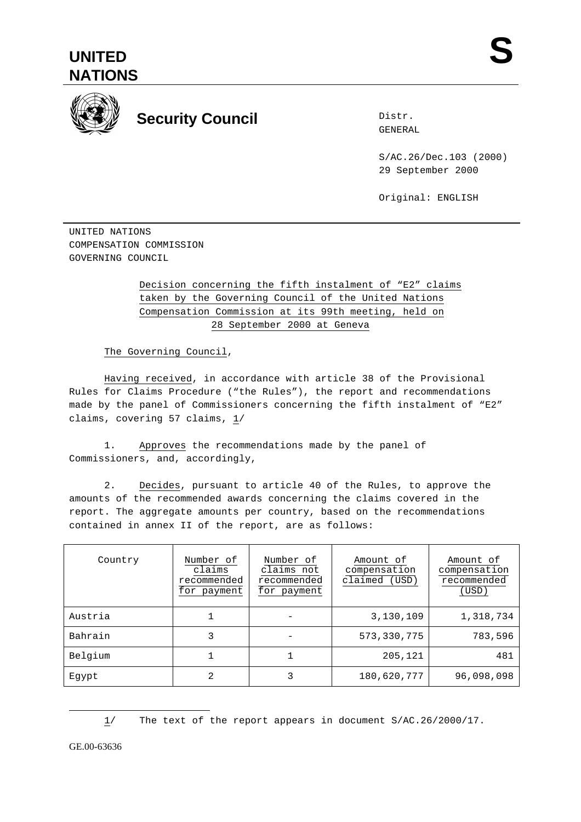



## **Security Council**

Distr. GENERAL

S/AC.26/Dec.103 (2000) 29 September 2000

Original: ENGLISH

UNITED NATIONS COMPENSATION COMMISSION GOVERNING COUNCIL

## Decision concerning the fifth instalment of "E2" claims taken by the Governing Council of the United Nations Compensation Commission at its 99th meeting, held on 28 September 2000 at Geneva

The Governing Council,

Having received, in accordance with article 38 of the Provisional Rules for Claims Procedure ("the Rules"), the report and recommendations made by the panel of Commissioners concerning the fifth instalment of "E2" claims, covering 57 claims, 1/

1. Approves the recommendations made by the panel of Commissioners, and, accordingly,

2. Decides, pursuant to article 40 of the Rules, to approve the amounts of the recommended awards concerning the claims covered in the report. The aggregate amounts per country, based on the recommendations contained in annex II of the report, are as follows:

| Country | Number of<br>claims<br>recommended<br>for payment | Number of<br>claims not<br>recommended<br>for payment | Amount of<br>compensation<br>claimed (USD) | Amount of<br>compensation<br>recommended<br>(USD) |
|---------|---------------------------------------------------|-------------------------------------------------------|--------------------------------------------|---------------------------------------------------|
| Austria |                                                   |                                                       | 3,130,109                                  | 1,318,734                                         |
| Bahrain | 3                                                 |                                                       | 573, 330, 775                              | 783,596                                           |
| Belgium |                                                   |                                                       | 205,121                                    | 481                                               |
| Eqypt   | 2                                                 |                                                       | 180,620,777                                | 96,098,098                                        |

<sup>1/</sup> The text of the report appears in document S/AC.26/2000/17.

GE.00-63636

 $\overline{a}$